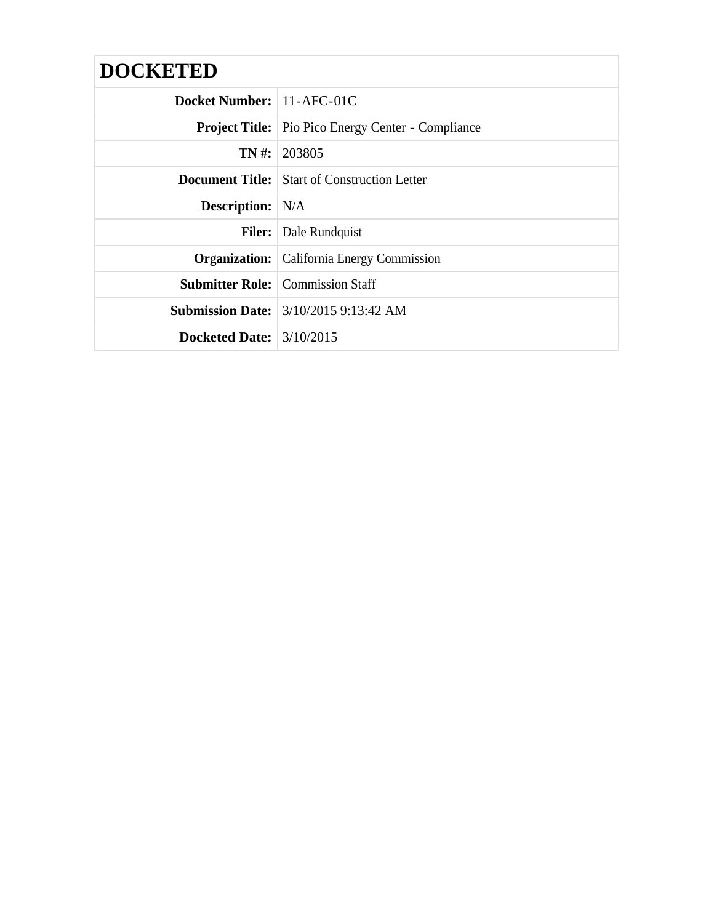| <b>DOCKETED</b>            |                                                           |
|----------------------------|-----------------------------------------------------------|
| Docket Number: 11-AFC-01C  |                                                           |
|                            | <b>Project Title:</b> Pio Pico Energy Center - Compliance |
|                            | $TN \#: 203805$                                           |
|                            | <b>Document Title:</b> Start of Construction Letter       |
| <b>Description:</b> N/A    |                                                           |
|                            | <b>Filer:</b> Dale Rundquist                              |
|                            | <b>Organization:</b>   California Energy Commission       |
|                            | <b>Submitter Role:</b> Commission Staff                   |
|                            | <b>Submission Date:</b> 3/10/2015 9:13:42 AM              |
| Docketed Date: $3/10/2015$ |                                                           |